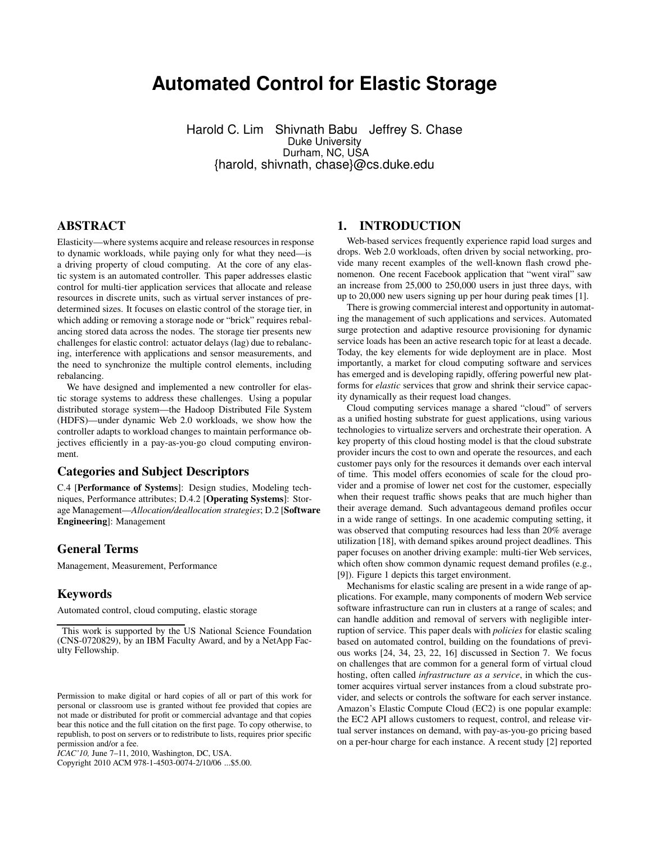# **Automated Control for Elastic Storage**

Harold C. Lim Shivnath Babu Jeffrey S. Chase Duke University Durham, NC, USA {harold, shivnath, chase}@cs.duke.edu

# ABSTRACT

Elasticity—where systems acquire and release resources in response to dynamic workloads, while paying only for what they need—is a driving property of cloud computing. At the core of any elastic system is an automated controller. This paper addresses elastic control for multi-tier application services that allocate and release resources in discrete units, such as virtual server instances of predetermined sizes. It focuses on elastic control of the storage tier, in which adding or removing a storage node or "brick" requires rebalancing stored data across the nodes. The storage tier presents new challenges for elastic control: actuator delays (lag) due to rebalancing, interference with applications and sensor measurements, and the need to synchronize the multiple control elements, including rebalancing.

We have designed and implemented a new controller for elastic storage systems to address these challenges. Using a popular distributed storage system—the Hadoop Distributed File System (HDFS)—under dynamic Web 2.0 workloads, we show how the controller adapts to workload changes to maintain performance objectives efficiently in a pay-as-you-go cloud computing environment.

#### Categories and Subject Descriptors

C.4 [Performance of Systems]: Design studies, Modeling techniques, Performance attributes; D.4.2 [Operating Systems]: Storage Management—*Allocation/deallocation strategies*; D.2 [Software Engineering]: Management

#### General Terms

Management, Measurement, Performance

#### Keywords

Automated control, cloud computing, elastic storage

Copyright 2010 ACM 978-1-4503-0074-2/10/06 ...\$5.00.

#### 1. INTRODUCTION

Web-based services frequently experience rapid load surges and drops. Web 2.0 workloads, often driven by social networking, provide many recent examples of the well-known flash crowd phenomenon. One recent Facebook application that "went viral" saw an increase from 25,000 to 250,000 users in just three days, with up to 20,000 new users signing up per hour during peak times [1].

There is growing commercial interest and opportunity in automating the management of such applications and services. Automated surge protection and adaptive resource provisioning for dynamic service loads has been an active research topic for at least a decade. Today, the key elements for wide deployment are in place. Most importantly, a market for cloud computing software and services has emerged and is developing rapidly, offering powerful new platforms for *elastic* services that grow and shrink their service capacity dynamically as their request load changes.

Cloud computing services manage a shared "cloud" of servers as a unified hosting substrate for guest applications, using various technologies to virtualize servers and orchestrate their operation. A key property of this cloud hosting model is that the cloud substrate provider incurs the cost to own and operate the resources, and each customer pays only for the resources it demands over each interval of time. This model offers economies of scale for the cloud provider and a promise of lower net cost for the customer, especially when their request traffic shows peaks that are much higher than their average demand. Such advantageous demand profiles occur in a wide range of settings. In one academic computing setting, it was observed that computing resources had less than 20% average utilization [18], with demand spikes around project deadlines. This paper focuses on another driving example: multi-tier Web services, which often show common dynamic request demand profiles (e.g., [9]). Figure 1 depicts this target environment.

Mechanisms for elastic scaling are present in a wide range of applications. For example, many components of modern Web service software infrastructure can run in clusters at a range of scales; and can handle addition and removal of servers with negligible interruption of service. This paper deals with *policies* for elastic scaling based on automated control, building on the foundations of previous works [24, 34, 23, 22, 16] discussed in Section 7. We focus on challenges that are common for a general form of virtual cloud hosting, often called *infrastructure as a service*, in which the customer acquires virtual server instances from a cloud substrate provider, and selects or controls the software for each server instance. Amazon's Elastic Compute Cloud (EC2) is one popular example: the EC2 API allows customers to request, control, and release virtual server instances on demand, with pay-as-you-go pricing based on a per-hour charge for each instance. A recent study [2] reported

This work is supported by the US National Science Foundation (CNS-0720829), by an IBM Faculty Award, and by a NetApp Faculty Fellowship.

Permission to make digital or hard copies of all or part of this work for personal or classroom use is granted without fee provided that copies are not made or distributed for profit or commercial advantage and that copies bear this notice and the full citation on the first page. To copy otherwise, to republish, to post on servers or to redistribute to lists, requires prior specific permission and/or a fee.

*ICAC'10,* June 7–11, 2010, Washington, DC, USA.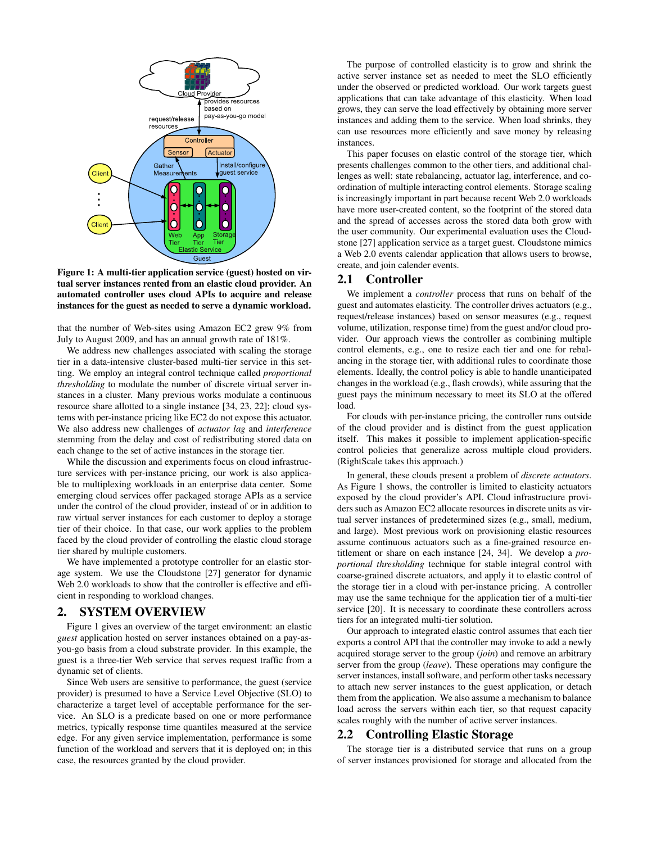

Figure 1: A multi-tier application service (guest) hosted on virtual server instances rented from an elastic cloud provider. An automated controller uses cloud APIs to acquire and release instances for the guest as needed to serve a dynamic workload.

that the number of Web-sites using Amazon EC2 grew 9% from July to August 2009, and has an annual growth rate of 181%.

We address new challenges associated with scaling the storage tier in a data-intensive cluster-based multi-tier service in this setting. We employ an integral control technique called *proportional thresholding* to modulate the number of discrete virtual server instances in a cluster. Many previous works modulate a continuous resource share allotted to a single instance [34, 23, 22]; cloud systems with per-instance pricing like EC2 do not expose this actuator. We also address new challenges of *actuator lag* and *interference* stemming from the delay and cost of redistributing stored data on each change to the set of active instances in the storage tier.

While the discussion and experiments focus on cloud infrastructure services with per-instance pricing, our work is also applicable to multiplexing workloads in an enterprise data center. Some emerging cloud services offer packaged storage APIs as a service under the control of the cloud provider, instead of or in addition to raw virtual server instances for each customer to deploy a storage tier of their choice. In that case, our work applies to the problem faced by the cloud provider of controlling the elastic cloud storage tier shared by multiple customers.

We have implemented a prototype controller for an elastic storage system. We use the Cloudstone [27] generator for dynamic Web 2.0 workloads to show that the controller is effective and efficient in responding to workload changes.

#### 2. SYSTEM OVERVIEW

Figure 1 gives an overview of the target environment: an elastic *guest* application hosted on server instances obtained on a pay-asyou-go basis from a cloud substrate provider. In this example, the guest is a three-tier Web service that serves request traffic from a dynamic set of clients.

Since Web users are sensitive to performance, the guest (service provider) is presumed to have a Service Level Objective (SLO) to characterize a target level of acceptable performance for the service. An SLO is a predicate based on one or more performance metrics, typically response time quantiles measured at the service edge. For any given service implementation, performance is some function of the workload and servers that it is deployed on; in this case, the resources granted by the cloud provider.

The purpose of controlled elasticity is to grow and shrink the active server instance set as needed to meet the SLO efficiently under the observed or predicted workload. Our work targets guest applications that can take advantage of this elasticity. When load grows, they can serve the load effectively by obtaining more server instances and adding them to the service. When load shrinks, they can use resources more efficiently and save money by releasing instances.

This paper focuses on elastic control of the storage tier, which presents challenges common to the other tiers, and additional challenges as well: state rebalancing, actuator lag, interference, and coordination of multiple interacting control elements. Storage scaling is increasingly important in part because recent Web 2.0 workloads have more user-created content, so the footprint of the stored data and the spread of accesses across the stored data both grow with the user community. Our experimental evaluation uses the Cloudstone [27] application service as a target guest. Cloudstone mimics a Web 2.0 events calendar application that allows users to browse, create, and join calender events.

#### 2.1 Controller

We implement a *controller* process that runs on behalf of the guest and automates elasticity. The controller drives actuators (e.g., request/release instances) based on sensor measures (e.g., request volume, utilization, response time) from the guest and/or cloud provider. Our approach views the controller as combining multiple control elements, e.g., one to resize each tier and one for rebalancing in the storage tier, with additional rules to coordinate those elements. Ideally, the control policy is able to handle unanticipated changes in the workload (e.g., flash crowds), while assuring that the guest pays the minimum necessary to meet its SLO at the offered load.

For clouds with per-instance pricing, the controller runs outside of the cloud provider and is distinct from the guest application itself. This makes it possible to implement application-specific control policies that generalize across multiple cloud providers. (RightScale takes this approach.)

In general, these clouds present a problem of *discrete actuators*. As Figure 1 shows, the controller is limited to elasticity actuators exposed by the cloud provider's API. Cloud infrastructure providers such as Amazon EC2 allocate resources in discrete units as virtual server instances of predetermined sizes (e.g., small, medium, and large). Most previous work on provisioning elastic resources assume continuous actuators such as a fine-grained resource entitlement or share on each instance [24, 34]. We develop a *proportional thresholding* technique for stable integral control with coarse-grained discrete actuators, and apply it to elastic control of the storage tier in a cloud with per-instance pricing. A controller may use the same technique for the application tier of a multi-tier service [20]. It is necessary to coordinate these controllers across tiers for an integrated multi-tier solution.

Our approach to integrated elastic control assumes that each tier exports a control API that the controller may invoke to add a newly acquired storage server to the group (*join*) and remove an arbitrary server from the group (*leave*). These operations may configure the server instances, install software, and perform other tasks necessary to attach new server instances to the guest application, or detach them from the application. We also assume a mechanism to balance load across the servers within each tier, so that request capacity scales roughly with the number of active server instances.

#### 2.2 Controlling Elastic Storage

The storage tier is a distributed service that runs on a group of server instances provisioned for storage and allocated from the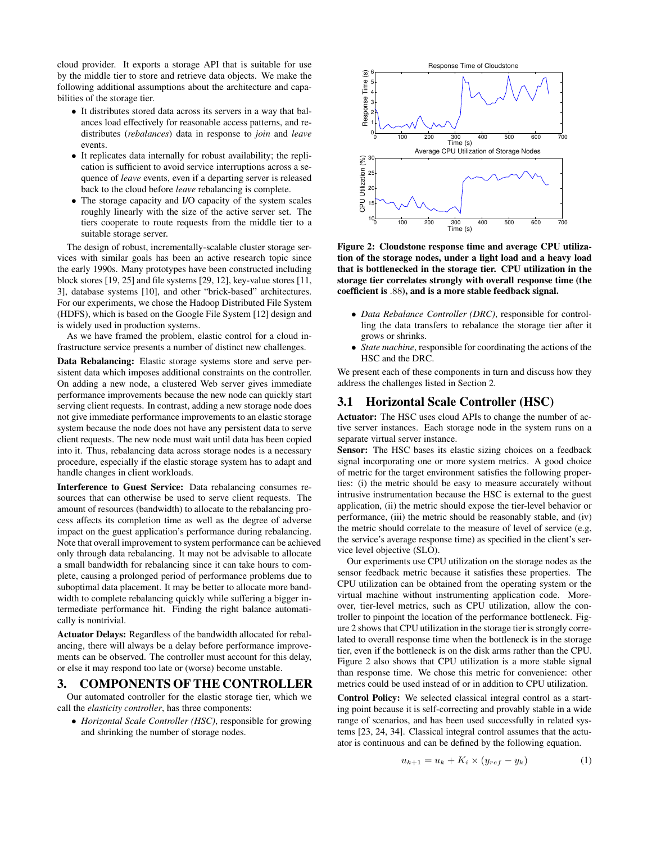cloud provider. It exports a storage API that is suitable for use by the middle tier to store and retrieve data objects. We make the following additional assumptions about the architecture and capabilities of the storage tier.

- It distributes stored data across its servers in a way that balances load effectively for reasonable access patterns, and redistributes (*rebalances*) data in response to *join* and *leave* events.
- It replicates data internally for robust availability; the replication is sufficient to avoid service interruptions across a sequence of *leave* events, even if a departing server is released back to the cloud before *leave* rebalancing is complete.
- The storage capacity and I/O capacity of the system scales roughly linearly with the size of the active server set. The tiers cooperate to route requests from the middle tier to a suitable storage server.

The design of robust, incrementally-scalable cluster storage services with similar goals has been an active research topic since the early 1990s. Many prototypes have been constructed including block stores [19, 25] and file systems [29, 12], key-value stores [11, 3], database systems [10], and other "brick-based" architectures. For our experiments, we chose the Hadoop Distributed File System (HDFS), which is based on the Google File System [12] design and is widely used in production systems.

As we have framed the problem, elastic control for a cloud infrastructure service presents a number of distinct new challenges.

Data Rebalancing: Elastic storage systems store and serve persistent data which imposes additional constraints on the controller. On adding a new node, a clustered Web server gives immediate performance improvements because the new node can quickly start serving client requests. In contrast, adding a new storage node does not give immediate performance improvements to an elastic storage system because the node does not have any persistent data to serve client requests. The new node must wait until data has been copied into it. Thus, rebalancing data across storage nodes is a necessary procedure, especially if the elastic storage system has to adapt and handle changes in client workloads.

Interference to Guest Service: Data rebalancing consumes resources that can otherwise be used to serve client requests. The amount of resources (bandwidth) to allocate to the rebalancing process affects its completion time as well as the degree of adverse impact on the guest application's performance during rebalancing. Note that overall improvement to system performance can be achieved only through data rebalancing. It may not be advisable to allocate a small bandwidth for rebalancing since it can take hours to complete, causing a prolonged period of performance problems due to suboptimal data placement. It may be better to allocate more bandwidth to complete rebalancing quickly while suffering a bigger intermediate performance hit. Finding the right balance automatically is nontrivial.

Actuator Delays: Regardless of the bandwidth allocated for rebalancing, there will always be a delay before performance improvements can be observed. The controller must account for this delay, or else it may respond too late or (worse) become unstable.

## 3. COMPONENTS OF THE CONTROLLER

Our automated controller for the elastic storage tier, which we call the *elasticity controller*, has three components:

• *Horizontal Scale Controller (HSC)*, responsible for growing and shrinking the number of storage nodes.



Figure 2: Cloudstone response time and average CPU utilization of the storage nodes, under a light load and a heavy load that is bottlenecked in the storage tier. CPU utilization in the storage tier correlates strongly with overall response time (the coefficient is .88), and is a more stable feedback signal.

- *Data Rebalance Controller (DRC)*, responsible for controlling the data transfers to rebalance the storage tier after it grows or shrinks.
- *State machine*, responsible for coordinating the actions of the HSC and the DRC.

We present each of these components in turn and discuss how they address the challenges listed in Section 2.

#### 3.1 Horizontal Scale Controller (HSC)

Actuator: The HSC uses cloud APIs to change the number of active server instances. Each storage node in the system runs on a separate virtual server instance.

Sensor: The HSC bases its elastic sizing choices on a feedback signal incorporating one or more system metrics. A good choice of metric for the target environment satisfies the following properties: (i) the metric should be easy to measure accurately without intrusive instrumentation because the HSC is external to the guest application, (ii) the metric should expose the tier-level behavior or performance, (iii) the metric should be reasonably stable, and (iv) the metric should correlate to the measure of level of service (e.g, the service's average response time) as specified in the client's service level objective (SLO).

Our experiments use CPU utilization on the storage nodes as the sensor feedback metric because it satisfies these properties. The CPU utilization can be obtained from the operating system or the virtual machine without instrumenting application code. Moreover, tier-level metrics, such as CPU utilization, allow the controller to pinpoint the location of the performance bottleneck. Figure 2 shows that CPU utilization in the storage tier is strongly correlated to overall response time when the bottleneck is in the storage tier, even if the bottleneck is on the disk arms rather than the CPU. Figure 2 also shows that CPU utilization is a more stable signal than response time. We chose this metric for convenience: other metrics could be used instead of or in addition to CPU utilization.

Control Policy: We selected classical integral control as a starting point because it is self-correcting and provably stable in a wide range of scenarios, and has been used successfully in related systems [23, 24, 34]. Classical integral control assumes that the actuator is continuous and can be defined by the following equation.

$$
u_{k+1} = u_k + K_i \times (y_{ref} - y_k)
$$
 (1)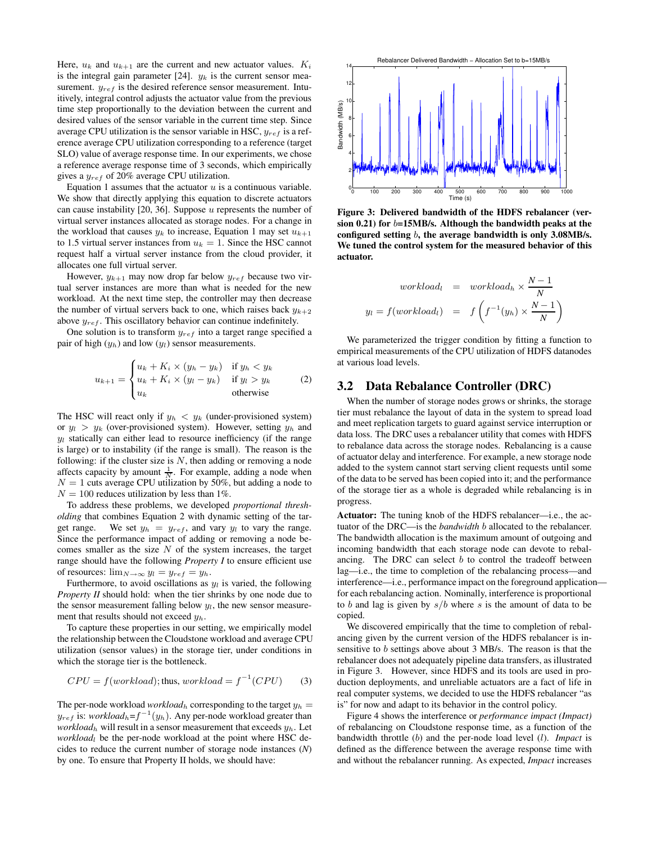Here,  $u_k$  and  $u_{k+1}$  are the current and new actuator values.  $K_i$ is the integral gain parameter [24].  $y_k$  is the current sensor measurement.  $y_{ref}$  is the desired reference sensor measurement. Intuitively, integral control adjusts the actuator value from the previous time step proportionally to the deviation between the current and desired values of the sensor variable in the current time step. Since average CPU utilization is the sensor variable in HSC,  $y_{ref}$  is a reference average CPU utilization corresponding to a reference (target SLO) value of average response time. In our experiments, we chose a reference average response time of 3 seconds, which empirically gives a  $y_{ref}$  of 20% average CPU utilization.

Equation 1 assumes that the actuator  $u$  is a continuous variable. We show that directly applying this equation to discrete actuators can cause instability [20, 36]. Suppose u represents the number of virtual server instances allocated as storage nodes. For a change in the workload that causes  $y_k$  to increase, Equation 1 may set  $u_{k+1}$ to 1.5 virtual server instances from  $u_k = 1$ . Since the HSC cannot request half a virtual server instance from the cloud provider, it allocates one full virtual server.

However,  $y_{k+1}$  may now drop far below  $y_{ref}$  because two virtual server instances are more than what is needed for the new workload. At the next time step, the controller may then decrease the number of virtual servers back to one, which raises back  $y_{k+2}$ above  $y_{ref}$ . This oscillatory behavior can continue indefinitely.

One solution is to transform  $y_{ref}$  into a target range specified a pair of high  $(y_h)$  and low  $(y_l)$  sensor measurements.

$$
u_{k+1} = \begin{cases} u_k + K_i \times (y_h - y_k) & \text{if } y_h < y_k \\ u_k + K_i \times (y_l - y_k) & \text{if } y_l > y_k \\ u_k & \text{otherwise} \end{cases} \tag{2}
$$

The HSC will react only if  $y_h < y_k$  (under-provisioned system) or  $y_l > y_k$  (over-provisioned system). However, setting  $y_h$  and  $y_l$  statically can either lead to resource inefficiency (if the range is large) or to instability (if the range is small). The reason is the following: if the cluster size is  $N$ , then adding or removing a node affects capacity by amount  $\frac{1}{N}$ . For example, adding a node when  $N = 1$  cuts average CPU utilization by 50%, but adding a node to  $N = 100$  reduces utilization by less than 1%.

To address these problems, we developed *proportional thresholding* that combines Equation 2 with dynamic setting of the target range. We set  $y_h = y_{ref}$ , and vary  $y_l$  to vary the range. Since the performance impact of adding or removing a node becomes smaller as the size  $N$  of the system increases, the target range should have the following *Property I* to ensure efficient use of resources:  $\lim_{N\to\infty} y_l = y_{ref} = y_h$ .

Furthermore, to avoid oscillations as  $y_l$  is varied, the following *Property II* should hold: when the tier shrinks by one node due to the sensor measurement falling below  $y_l$ , the new sensor measurement that results should not exceed  $y_h$ .

To capture these properties in our setting, we empirically model the relationship between the Cloudstone workload and average CPU utilization (sensor values) in the storage tier, under conditions in which the storage tier is the bottleneck.

$$
CPU = f(word); thus, workload = f^{-1}(CPU) \tag{3}
$$

The per-node workload *workload*<sub>h</sub> corresponding to the target  $y_h$  =  $y_{ref}$  is: *workload<sub>h</sub>*= $f^{-1}(y_h)$ . Any per-node workload greater than *workload<sub>h</sub>* will result in a sensor measurement that exceeds  $y_h$ . Let  $workload<sub>l</sub>$  be the per-node workload at the point where HSC decides to reduce the current number of storage node instances (*N*) by one. To ensure that Property II holds, we should have:



Figure 3: Delivered bandwidth of the HDFS rebalancer (version 0.21) for  $b=15MB/s$ . Although the bandwidth peaks at the configured setting  $b$ , the average bandwidth is only 3.08MB/s. We tuned the control system for the measured behavior of this actuator.

$$
workload_l = workload_h \times \frac{N-1}{N}
$$

$$
y_l = f(workload_l) = f\left(f^{-1}(y_h) \times \frac{N-1}{N}\right)
$$

We parameterized the trigger condition by fitting a function to empirical measurements of the CPU utilization of HDFS datanodes at various load levels.

## 3.2 Data Rebalance Controller (DRC)

When the number of storage nodes grows or shrinks, the storage tier must rebalance the layout of data in the system to spread load and meet replication targets to guard against service interruption or data loss. The DRC uses a rebalancer utility that comes with HDFS to rebalance data across the storage nodes. Rebalancing is a cause of actuator delay and interference. For example, a new storage node added to the system cannot start serving client requests until some of the data to be served has been copied into it; and the performance of the storage tier as a whole is degraded while rebalancing is in progress.

Actuator: The tuning knob of the HDFS rebalancer—i.e., the actuator of the DRC—is the *bandwidth* b allocated to the rebalancer. The bandwidth allocation is the maximum amount of outgoing and incoming bandwidth that each storage node can devote to rebalancing. The DRC can select  $b$  to control the tradeoff between lag—i.e., the time to completion of the rebalancing process—and interference—i.e., performance impact on the foreground application for each rebalancing action. Nominally, interference is proportional to b and lag is given by  $s/b$  where s is the amount of data to be copied.

We discovered empirically that the time to completion of rebalancing given by the current version of the HDFS rebalancer is insensitive to b settings above about 3 MB/s. The reason is that the rebalancer does not adequately pipeline data transfers, as illustrated in Figure 3. However, since HDFS and its tools are used in production deployments, and unreliable actuators are a fact of life in real computer systems, we decided to use the HDFS rebalancer "as is" for now and adapt to its behavior in the control policy.

Figure 4 shows the interference or *performance impact (Impact)* of rebalancing on Cloudstone response time, as a function of the bandwidth throttle (b) and the per-node load level (l). *Impact* is defined as the difference between the average response time with and without the rebalancer running. As expected, *Impact* increases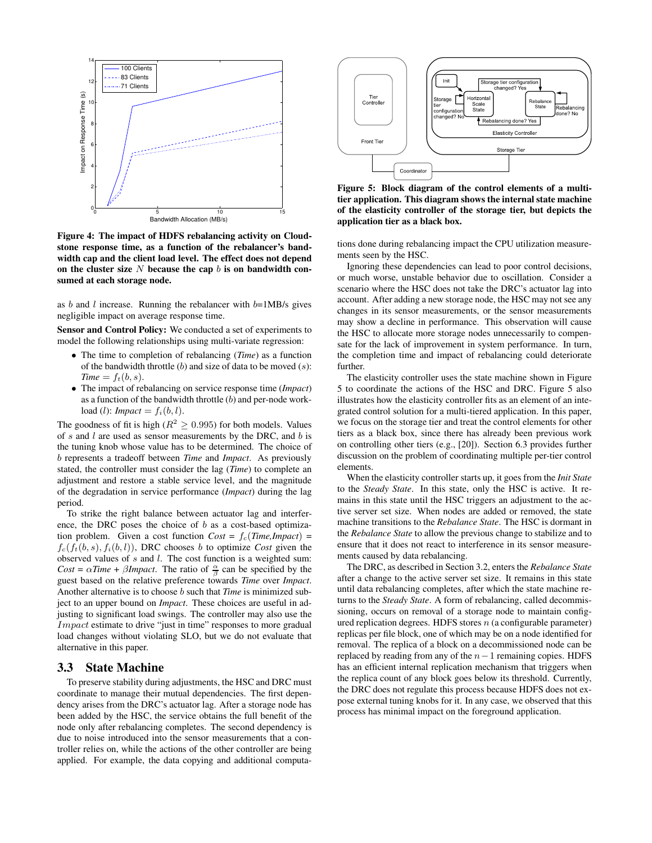

Figure 4: The impact of HDFS rebalancing activity on Cloudstone response time, as a function of the rebalancer's bandwidth cap and the client load level. The effect does not depend on the cluster size  $N$  because the cap  $b$  is on bandwidth consumed at each storage node.

as  $b$  and  $l$  increase. Running the rebalancer with  $b=1MB/s$  gives negligible impact on average response time.

Sensor and Control Policy: We conducted a set of experiments to model the following relationships using multi-variate regression:

- The time to completion of rebalancing (*Time*) as a function of the bandwidth throttle  $(b)$  and size of data to be moved  $(s)$ :  $Time = f_t(b, s)$ .
- The impact of rebalancing on service response time (*Impact*) as a function of the bandwidth throttle  $(b)$  and per-node workload (*l*): *Impact* =  $f_i(b, l)$ .

The goodness of fit is high ( $R^2 \ge 0.995$ ) for both models. Values of s and  $l$  are used as sensor measurements by the DRC, and  $b$  is the tuning knob whose value has to be determined. The choice of b represents a tradeoff between *Time* and *Impact*. As previously stated, the controller must consider the lag (*Time*) to complete an adjustment and restore a stable service level, and the magnitude of the degradation in service performance (*Impact*) during the lag period.

To strike the right balance between actuator lag and interference, the DRC poses the choice of  $b$  as a cost-based optimization problem. Given a cost function  $Cost = f_c(Time, Impact)$  =  $f_c(f_t(b, s), f_i(b, l))$ , DRC chooses b to optimize *Cost* given the observed values of s and l. The cost function is a weighted sum: *Cost* =  $\alpha$ *Time* +  $\beta$ *Impact*. The ratio of  $\frac{\alpha}{\beta}$  can be specified by the guest based on the relative preference towards *Time* over *Impact*. Another alternative is to choose b such that *Time* is minimized subject to an upper bound on *Impact*. These choices are useful in adjusting to significant load swings. The controller may also use the Impact estimate to drive "just in time" responses to more gradual load changes without violating SLO, but we do not evaluate that alternative in this paper.

#### 3.3 State Machine

To preserve stability during adjustments, the HSC and DRC must coordinate to manage their mutual dependencies. The first dependency arises from the DRC's actuator lag. After a storage node has been added by the HSC, the service obtains the full benefit of the node only after rebalancing completes. The second dependency is due to noise introduced into the sensor measurements that a controller relies on, while the actions of the other controller are being applied. For example, the data copying and additional computa-



Figure 5: Block diagram of the control elements of a multitier application. This diagram shows the internal state machine of the elasticity controller of the storage tier, but depicts the application tier as a black box.

tions done during rebalancing impact the CPU utilization measurements seen by the HSC.

Ignoring these dependencies can lead to poor control decisions, or much worse, unstable behavior due to oscillation. Consider a scenario where the HSC does not take the DRC's actuator lag into account. After adding a new storage node, the HSC may not see any changes in its sensor measurements, or the sensor measurements may show a decline in performance. This observation will cause the HSC to allocate more storage nodes unnecessarily to compensate for the lack of improvement in system performance. In turn, the completion time and impact of rebalancing could deteriorate further.

The elasticity controller uses the state machine shown in Figure 5 to coordinate the actions of the HSC and DRC. Figure 5 also illustrates how the elasticity controller fits as an element of an integrated control solution for a multi-tiered application. In this paper, we focus on the storage tier and treat the control elements for other tiers as a black box, since there has already been previous work on controlling other tiers (e.g., [20]). Section 6.3 provides further discussion on the problem of coordinating multiple per-tier control elements.

When the elasticity controller starts up, it goes from the *Init State* to the *Steady State*. In this state, only the HSC is active. It remains in this state until the HSC triggers an adjustment to the active server set size. When nodes are added or removed, the state machine transitions to the *Rebalance State*. The HSC is dormant in the *Rebalance State* to allow the previous change to stabilize and to ensure that it does not react to interference in its sensor measurements caused by data rebalancing.

The DRC, as described in Section 3.2, enters the *Rebalance State* after a change to the active server set size. It remains in this state until data rebalancing completes, after which the state machine returns to the *Steady State*. A form of rebalancing, called decommissioning, occurs on removal of a storage node to maintain configured replication degrees. HDFS stores  $n$  (a configurable parameter) replicas per file block, one of which may be on a node identified for removal. The replica of a block on a decommissioned node can be replaced by reading from any of the  $n-1$  remaining copies. HDFS has an efficient internal replication mechanism that triggers when the replica count of any block goes below its threshold. Currently, the DRC does not regulate this process because HDFS does not expose external tuning knobs for it. In any case, we observed that this process has minimal impact on the foreground application.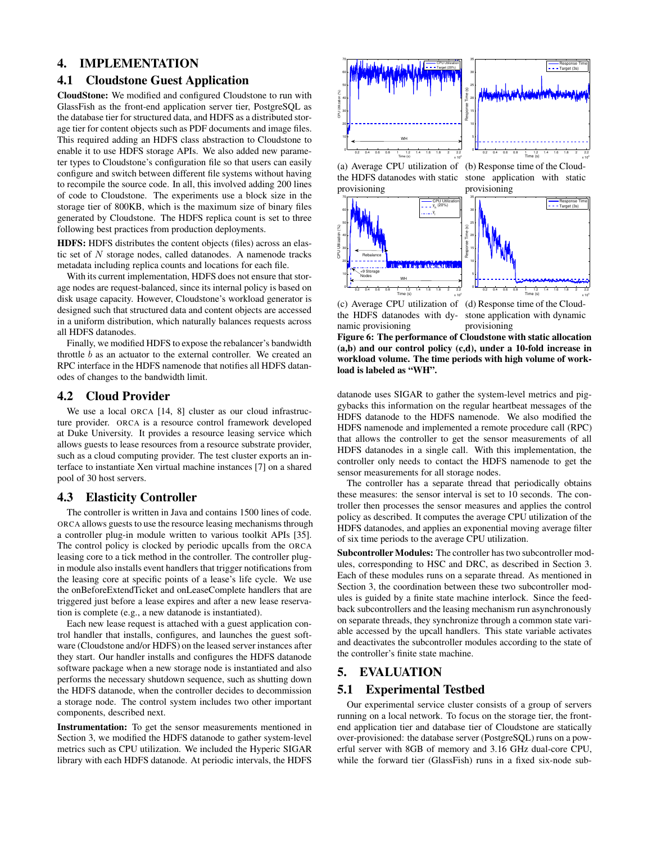# 4. IMPLEMENTATION

## 4.1 Cloudstone Guest Application

CloudStone: We modified and configured Cloudstone to run with GlassFish as the front-end application server tier, PostgreSQL as the database tier for structured data, and HDFS as a distributed storage tier for content objects such as PDF documents and image files. This required adding an HDFS class abstraction to Cloudstone to enable it to use HDFS storage APIs. We also added new parameter types to Cloudstone's configuration file so that users can easily configure and switch between different file systems without having to recompile the source code. In all, this involved adding 200 lines of code to Cloudstone. The experiments use a block size in the storage tier of 800KB, which is the maximum size of binary files generated by Cloudstone. The HDFS replica count is set to three following best practices from production deployments.

HDFS: HDFS distributes the content objects (files) across an elastic set of  $N$  storage nodes, called datanodes. A namenode tracks metadata including replica counts and locations for each file.

With its current implementation, HDFS does not ensure that storage nodes are request-balanced, since its internal policy is based on disk usage capacity. However, Cloudstone's workload generator is designed such that structured data and content objects are accessed in a uniform distribution, which naturally balances requests across all HDFS datanodes.

Finally, we modified HDFS to expose the rebalancer's bandwidth throttle b as an actuator to the external controller. We created an RPC interface in the HDFS namenode that notifies all HDFS datanodes of changes to the bandwidth limit.

#### 4.2 Cloud Provider

We use a local ORCA [14, 8] cluster as our cloud infrastructure provider. ORCA is a resource control framework developed at Duke University. It provides a resource leasing service which allows guests to lease resources from a resource substrate provider, such as a cloud computing provider. The test cluster exports an interface to instantiate Xen virtual machine instances [7] on a shared pool of 30 host servers.

### 4.3 Elasticity Controller

The controller is written in Java and contains 1500 lines of code. ORCA allows guests to use the resource leasing mechanisms through a controller plug-in module written to various toolkit APIs [35]. The control policy is clocked by periodic upcalls from the ORCA leasing core to a tick method in the controller. The controller plugin module also installs event handlers that trigger notifications from the leasing core at specific points of a lease's life cycle. We use the onBeforeExtendTicket and onLeaseComplete handlers that are triggered just before a lease expires and after a new lease reservation is complete (e.g., a new datanode is instantiated).

Each new lease request is attached with a guest application control handler that installs, configures, and launches the guest software (Cloudstone and/or HDFS) on the leased server instances after they start. Our handler installs and configures the HDFS datanode software package when a new storage node is instantiated and also performs the necessary shutdown sequence, such as shutting down the HDFS datanode, when the controller decides to decommission a storage node. The control system includes two other important components, described next.

Instrumentation: To get the sensor measurements mentioned in Section 3, we modified the HDFS datanode to gather system-level metrics such as CPU utilization. We included the Hyperic SIGAR library with each HDFS datanode. At periodic intervals, the HDFS



(a) Average CPU utilization of (b) Response time of the Cloudthe HDFS datanodes with static stone application with static provisioning

CPU Utilization (%)



(c) Average CPU utilization of (d) Response time of the Cloudthe HDFS datanodes with dynamic provisioning stone application with dynamic provisioning

Figure 6: The performance of Cloudstone with static allocation (a,b) and our control policy (c,d), under a 10-fold increase in workload volume. The time periods with high volume of workload is labeled as "WH".

datanode uses SIGAR to gather the system-level metrics and piggybacks this information on the regular heartbeat messages of the HDFS datanode to the HDFS namenode. We also modified the HDFS namenode and implemented a remote procedure call (RPC) that allows the controller to get the sensor measurements of all HDFS datanodes in a single call. With this implementation, the controller only needs to contact the HDFS namenode to get the sensor measurements for all storage nodes.

The controller has a separate thread that periodically obtains these measures: the sensor interval is set to 10 seconds. The controller then processes the sensor measures and applies the control policy as described. It computes the average CPU utilization of the HDFS datanodes, and applies an exponential moving average filter of six time periods to the average CPU utilization.

Subcontroller Modules: The controller has two subcontroller modules, corresponding to HSC and DRC, as described in Section 3. Each of these modules runs on a separate thread. As mentioned in Section 3, the coordination between these two subcontroller modules is guided by a finite state machine interlock. Since the feedback subcontrollers and the leasing mechanism run asynchronously on separate threads, they synchronize through a common state variable accessed by the upcall handlers. This state variable activates and deactivates the subcontroller modules according to the state of the controller's finite state machine.

# 5. EVALUATION

# 5.1 Experimental Testbed

Our experimental service cluster consists of a group of servers running on a local network. To focus on the storage tier, the frontend application tier and database tier of Cloudstone are statically over-provisioned: the database server (PostgreSQL) runs on a powerful server with 8GB of memory and 3.16 GHz dual-core CPU, while the forward tier (GlassFish) runs in a fixed six-node sub-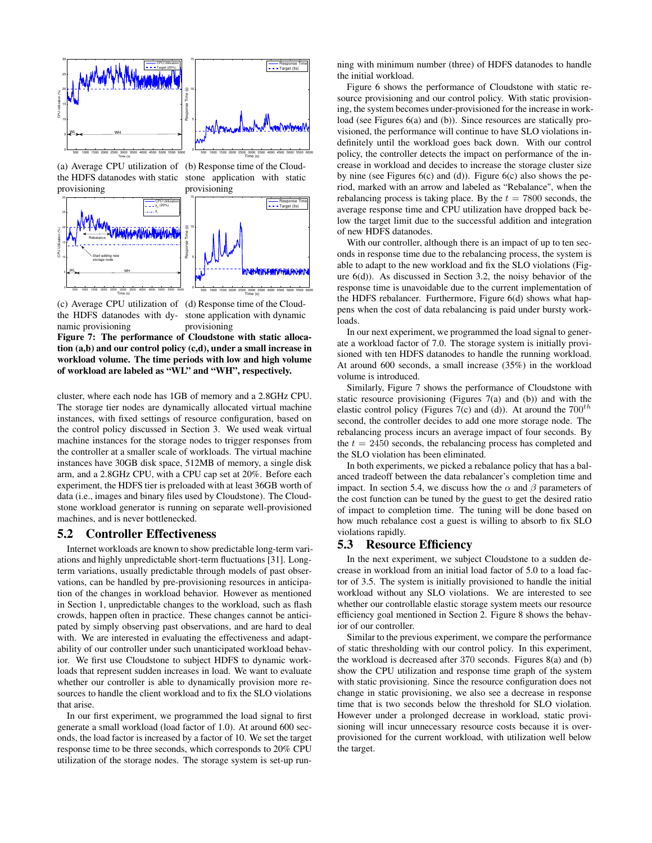

(a) Average CPU utilization of (b) Response time of the Cloudthe HDFS datanodes with static stone application with static provisioning

provisioning



(c) Average CPU utilization of (d) Response time of the Cloudthe HDFS datanodes with dy-stone application with dynamic namic provisioning

Time (s)

provisioning

Time (s)

Figure 7: The performance of Cloudstone with static allocation (a,b) and our control policy (c,d), under a small increase in workload volume. The time periods with low and high volume of workload are labeled as "WL" and "WH", respectively.

cluster, where each node has 1GB of memory and a 2.8GHz CPU. The storage tier nodes are dynamically allocated virtual machine instances, with fixed settings of resource configuration, based on the control policy discussed in Section 3. We used weak virtual machine instances for the storage nodes to trigger responses from the controller at a smaller scale of workloads. The virtual machine instances have 30GB disk space, 512MB of memory, a single disk arm, and a 2.8GHz CPU, with a CPU cap set at 20%. Before each experiment, the HDFS tier is preloaded with at least 36GB worth of data (i.e., images and binary files used by Cloudstone). The Cloudstone workload generator is running on separate well-provisioned machines, and is never bottlenecked.

# 5.2 Controller Effectiveness

Internet workloads are known to show predictable long-term variations and highly unpredictable short-term fluctuations [31]. Longterm variations, usually predictable through models of past observations, can be handled by pre-provisioning resources in anticipation of the changes in workload behavior. However as mentioned in Section 1, unpredictable changes to the workload, such as flash crowds, happen often in practice. These changes cannot be anticipated by simply observing past observations, and are hard to deal with. We are interested in evaluating the effectiveness and adaptability of our controller under such unanticipated workload behavior. We first use Cloudstone to subject HDFS to dynamic workloads that represent sudden increases in load. We want to evaluate whether our controller is able to dynamically provision more resources to handle the client workload and to fix the SLO violations that arise.

In our first experiment, we programmed the load signal to first generate a small workload (load factor of 1.0). At around 600 seconds, the load factor is increased by a factor of 10. We set the target response time to be three seconds, which corresponds to 20% CPU utilization of the storage nodes. The storage system is set-up running with minimum number (three) of HDFS datanodes to handle the initial workload.

Figure 6 shows the performance of Cloudstone with static resource provisioning and our control policy. With static provisioning, the system becomes under-provisioned for the increase in workload (see Figures 6(a) and (b)). Since resources are statically provisioned, the performance will continue to have SLO violations indefinitely until the workload goes back down. With our control policy, the controller detects the impact on performance of the increase in workload and decides to increase the storage cluster size by nine (see Figures 6(c) and (d)). Figure 6(c) also shows the period, marked with an arrow and labeled as "Rebalance", when the rebalancing process is taking place. By the  $t = 7800$  seconds, the average response time and CPU utilization have dropped back below the target limit due to the successful addition and integration of new HDFS datanodes.

With our controller, although there is an impact of up to ten seconds in response time due to the rebalancing process, the system is able to adapt to the new workload and fix the SLO violations (Figure 6(d)). As discussed in Section 3.2, the noisy behavior of the response time is unavoidable due to the current implementation of the HDFS rebalancer. Furthermore, Figure 6(d) shows what happens when the cost of data rebalancing is paid under bursty workloads.

In our next experiment, we programmed the load signal to generate a workload factor of 7.0. The storage system is initially provisioned with ten HDFS datanodes to handle the running workload. At around 600 seconds, a small increase (35%) in the workload volume is introduced.

Similarly, Figure 7 shows the performance of Cloudstone with static resource provisioning (Figures  $7(a)$  and (b)) and with the elastic control policy (Figures 7(c) and (d)). At around the  $700^{th}$ second, the controller decides to add one more storage node. The rebalancing process incurs an average impact of four seconds. By the  $t = 2450$  seconds, the rebalancing process has completed and the SLO violation has been eliminated.

In both experiments, we picked a rebalance policy that has a balanced tradeoff between the data rebalancer's completion time and impact. In section 5.4, we discuss how the  $\alpha$  and  $\beta$  parameters of the cost function can be tuned by the guest to get the desired ratio of impact to completion time. The tuning will be done based on how much rebalance cost a guest is willing to absorb to fix SLO violations rapidly.

#### 5.3 Resource Efficiency

In the next experiment, we subject Cloudstone to a sudden decrease in workload from an initial load factor of 5.0 to a load factor of 3.5. The system is initially provisioned to handle the initial workload without any SLO violations. We are interested to see whether our controllable elastic storage system meets our resource efficiency goal mentioned in Section 2. Figure 8 shows the behavior of our controller.

Similar to the previous experiment, we compare the performance of static thresholding with our control policy. In this experiment, the workload is decreased after 370 seconds. Figures 8(a) and (b) show the CPU utilization and response time graph of the system with static provisioning. Since the resource configuration does not change in static provisioning, we also see a decrease in response time that is two seconds below the threshold for SLO violation. However under a prolonged decrease in workload, static provisioning will incur unnecessary resource costs because it is overprovisioned for the current workload, with utilization well below the target.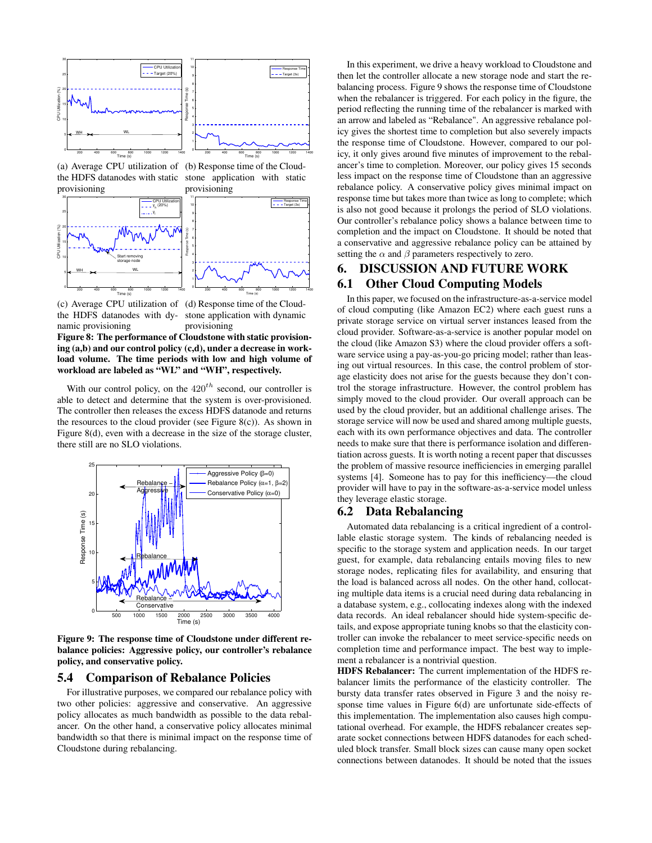

(a) Average CPU utilization of (b) Response time of the Cloudthe HDFS datanodes with static stone application with static provisioning provisioning



(c) Average CPU utilization of (d) Response time of the Cloudthe HDFS datanodes with dy-stone application with dynamic namic provisioning provisioning

Figure 8: The performance of Cloudstone with static provisioning (a,b) and our control policy (c,d), under a decrease in workload volume. The time periods with low and high volume of workload are labeled as "WL" and "WH", respectively.

With our control policy, on the  $420^{th}$  second, our controller is able to detect and determine that the system is over-provisioned. The controller then releases the excess HDFS datanode and returns the resources to the cloud provider (see Figure 8(c)). As shown in Figure 8(d), even with a decrease in the size of the storage cluster, there still are no SLO violations.



Figure 9: The response time of Cloudstone under different rebalance policies: Aggressive policy, our controller's rebalance policy, and conservative policy.

#### 5.4 Comparison of Rebalance Policies

For illustrative purposes, we compared our rebalance policy with two other policies: aggressive and conservative. An aggressive policy allocates as much bandwidth as possible to the data rebalancer. On the other hand, a conservative policy allocates minimal bandwidth so that there is minimal impact on the response time of Cloudstone during rebalancing.

In this experiment, we drive a heavy workload to Cloudstone and then let the controller allocate a new storage node and start the rebalancing process. Figure 9 shows the response time of Cloudstone when the rebalancer is triggered. For each policy in the figure, the period reflecting the running time of the rebalancer is marked with an arrow and labeled as "Rebalance". An aggressive rebalance policy gives the shortest time to completion but also severely impacts the response time of Cloudstone. However, compared to our policy, it only gives around five minutes of improvement to the rebalancer's time to completion. Moreover, our policy gives 15 seconds less impact on the response time of Cloudstone than an aggressive rebalance policy. A conservative policy gives minimal impact on response time but takes more than twice as long to complete; which is also not good because it prolongs the period of SLO violations. Our controller's rebalance policy shows a balance between time to completion and the impact on Cloudstone. It should be noted that a conservative and aggressive rebalance policy can be attained by setting the  $\alpha$  and  $\beta$  parameters respectively to zero.

# 6. DISCUSSION AND FUTURE WORK 6.1 Other Cloud Computing Models

In this paper, we focused on the infrastructure-as-a-service model of cloud computing (like Amazon EC2) where each guest runs a private storage service on virtual server instances leased from the cloud provider. Software-as-a-service is another popular model on the cloud (like Amazon S3) where the cloud provider offers a software service using a pay-as-you-go pricing model; rather than leasing out virtual resources. In this case, the control problem of storage elasticity does not arise for the guests because they don't control the storage infrastructure. However, the control problem has simply moved to the cloud provider. Our overall approach can be used by the cloud provider, but an additional challenge arises. The storage service will now be used and shared among multiple guests, each with its own performance objectives and data. The controller needs to make sure that there is performance isolation and differentiation across guests. It is worth noting a recent paper that discusses the problem of massive resource inefficiencies in emerging parallel systems [4]. Someone has to pay for this inefficiency—the cloud provider will have to pay in the software-as-a-service model unless they leverage elastic storage.

#### 6.2 Data Rebalancing

Automated data rebalancing is a critical ingredient of a controllable elastic storage system. The kinds of rebalancing needed is specific to the storage system and application needs. In our target guest, for example, data rebalancing entails moving files to new storage nodes, replicating files for availability, and ensuring that the load is balanced across all nodes. On the other hand, collocating multiple data items is a crucial need during data rebalancing in a database system, e.g., collocating indexes along with the indexed data records. An ideal rebalancer should hide system-specific details, and expose appropriate tuning knobs so that the elasticity controller can invoke the rebalancer to meet service-specific needs on completion time and performance impact. The best way to implement a rebalancer is a nontrivial question.

HDFS Rebalancer: The current implementation of the HDFS rebalancer limits the performance of the elasticity controller. The bursty data transfer rates observed in Figure 3 and the noisy response time values in Figure 6(d) are unfortunate side-effects of this implementation. The implementation also causes high computational overhead. For example, the HDFS rebalancer creates separate socket connections between HDFS datanodes for each scheduled block transfer. Small block sizes can cause many open socket connections between datanodes. It should be noted that the issues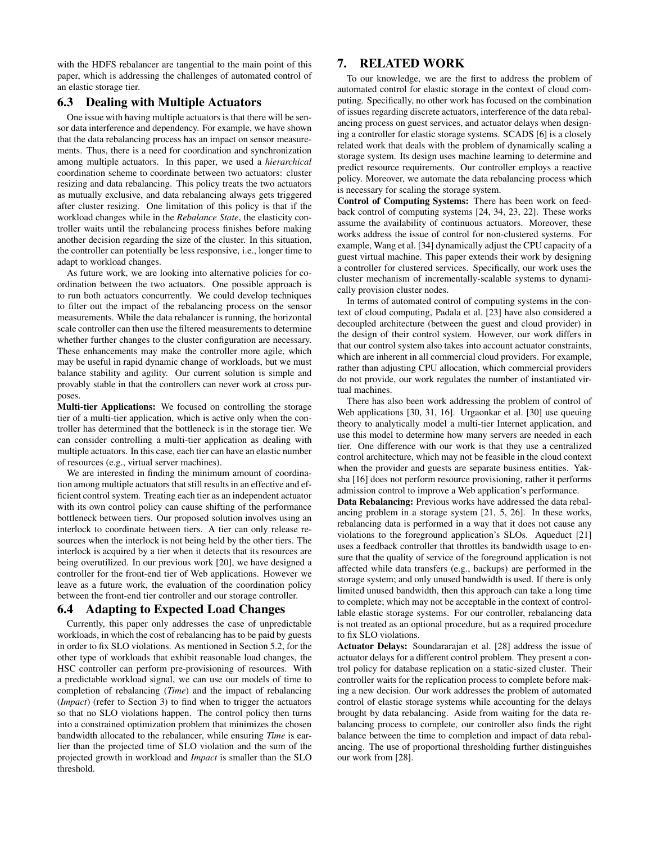with the HDFS rebalancer are tangential to the main point of this paper, which is addressing the challenges of automated control of an elastic storage tier.

#### 6.3 Dealing with Multiple Actuators

One issue with having multiple actuators is that there will be sensor data interference and dependency. For example, we have shown that the data rebalancing process has an impact on sensor measurements. Thus, there is a need for coordination and synchronization among multiple actuators. In this paper, we used a *hierarchical* coordination scheme to coordinate between two actuators: cluster resizing and data rebalancing. This policy treats the two actuators as mutually exclusive, and data rebalancing always gets triggered after cluster resizing. One limitation of this policy is that if the workload changes while in the *Rebalance State*, the elasticity controller waits until the rebalancing process finishes before making another decision regarding the size of the cluster. In this situation, the controller can potentially be less responsive, i.e., longer time to adapt to workload changes.

As future work, we are looking into alternative policies for coordination between the two actuators. One possible approach is to run both actuators concurrently. We could develop techniques to filter out the impact of the rebalancing process on the sensor measurements. While the data rebalancer is running, the horizontal scale controller can then use the filtered measurements to determine whether further changes to the cluster configuration are necessary. These enhancements may make the controller more agile, which may be useful in rapid dynamic change of workloads, but we must balance stability and agility. Our current solution is simple and provably stable in that the controllers can never work at cross purposes.

Multi-tier Applications: We focused on controlling the storage tier of a multi-tier application, which is active only when the controller has determined that the bottleneck is in the storage tier. We can consider controlling a multi-tier application as dealing with multiple actuators. In this case, each tier can have an elastic number of resources (e.g., virtual server machines).

We are interested in finding the minimum amount of coordination among multiple actuators that still results in an effective and efficient control system. Treating each tier as an independent actuator with its own control policy can cause shifting of the performance bottleneck between tiers. Our proposed solution involves using an interlock to coordinate between tiers. A tier can only release resources when the interlock is not being held by the other tiers. The interlock is acquired by a tier when it detects that its resources are being overutilized. In our previous work [20], we have designed a controller for the front-end tier of Web applications. However we leave as a future work, the evaluation of the coordination policy between the front-end tier controller and our storage controller.

#### 6.4 Adapting to Expected Load Changes

Currently, this paper only addresses the case of unpredictable workloads, in which the cost of rebalancing has to be paid by guests in order to fix SLO violations. As mentioned in Section 5.2, for the other type of workloads that exhibit reasonable load changes, the HSC controller can perform pre-provisioning of resources. With a predictable workload signal, we can use our models of time to completion of rebalancing (*Time*) and the impact of rebalancing (*Impact*) (refer to Section 3) to find when to trigger the actuators so that no SLO violations happen. The control policy then turns into a constrained optimization problem that minimizes the chosen bandwidth allocated to the rebalancer, while ensuring *Time* is earlier than the projected time of SLO violation and the sum of the projected growth in workload and *Impact* is smaller than the SLO threshold.

# 7. RELATED WORK

To our knowledge, we are the first to address the problem of automated control for elastic storage in the context of cloud computing. Specifically, no other work has focused on the combination of issues regarding discrete actuators, interference of the data rebalancing process on guest services, and actuator delays when designing a controller for elastic storage systems. SCADS [6] is a closely related work that deals with the problem of dynamically scaling a storage system. Its design uses machine learning to determine and predict resource requirements. Our controller employs a reactive policy. Moreover, we automate the data rebalancing process which is necessary for scaling the storage system.

Control of Computing Systems: There has been work on feedback control of computing systems [24, 34, 23, 22]. These works assume the availability of continuous actuators. Moreover, these works address the issue of control for non-clustered systems. For example, Wang et al. [34] dynamically adjust the CPU capacity of a guest virtual machine. This paper extends their work by designing a controller for clustered services. Specifically, our work uses the cluster mechanism of incrementally-scalable systems to dynamically provision cluster nodes.

In terms of automated control of computing systems in the context of cloud computing, Padala et al. [23] have also considered a decoupled architecture (between the guest and cloud provider) in the design of their control system. However, our work differs in that our control system also takes into account actuator constraints, which are inherent in all commercial cloud providers. For example, rather than adjusting CPU allocation, which commercial providers do not provide, our work regulates the number of instantiated virtual machines.

There has also been work addressing the problem of control of Web applications [30, 31, 16]. Urgaonkar et al. [30] use queuing theory to analytically model a multi-tier Internet application, and use this model to determine how many servers are needed in each tier. One difference with our work is that they use a centralized control architecture, which may not be feasible in the cloud context when the provider and guests are separate business entities. Yaksha [16] does not perform resource provisioning, rather it performs admission control to improve a Web application's performance.

Data Rebalancing: Previous works have addressed the data rebalancing problem in a storage system [21, 5, 26]. In these works, rebalancing data is performed in a way that it does not cause any violations to the foreground application's SLOs. Aqueduct [21] uses a feedback controller that throttles its bandwidth usage to ensure that the quality of service of the foreground application is not affected while data transfers (e.g., backups) are performed in the storage system; and only unused bandwidth is used. If there is only limited unused bandwidth, then this approach can take a long time to complete; which may not be acceptable in the context of controllable elastic storage systems. For our controller, rebalancing data is not treated as an optional procedure, but as a required procedure to fix SLO violations.

Actuator Delays: Soundararajan et al. [28] address the issue of actuator delays for a different control problem. They present a control policy for database replication on a static-sized cluster. Their controller waits for the replication process to complete before making a new decision. Our work addresses the problem of automated control of elastic storage systems while accounting for the delays brought by data rebalancing. Aside from waiting for the data rebalancing process to complete, our controller also finds the right balance between the time to completion and impact of data rebalancing. The use of proportional thresholding further distinguishes our work from [28].